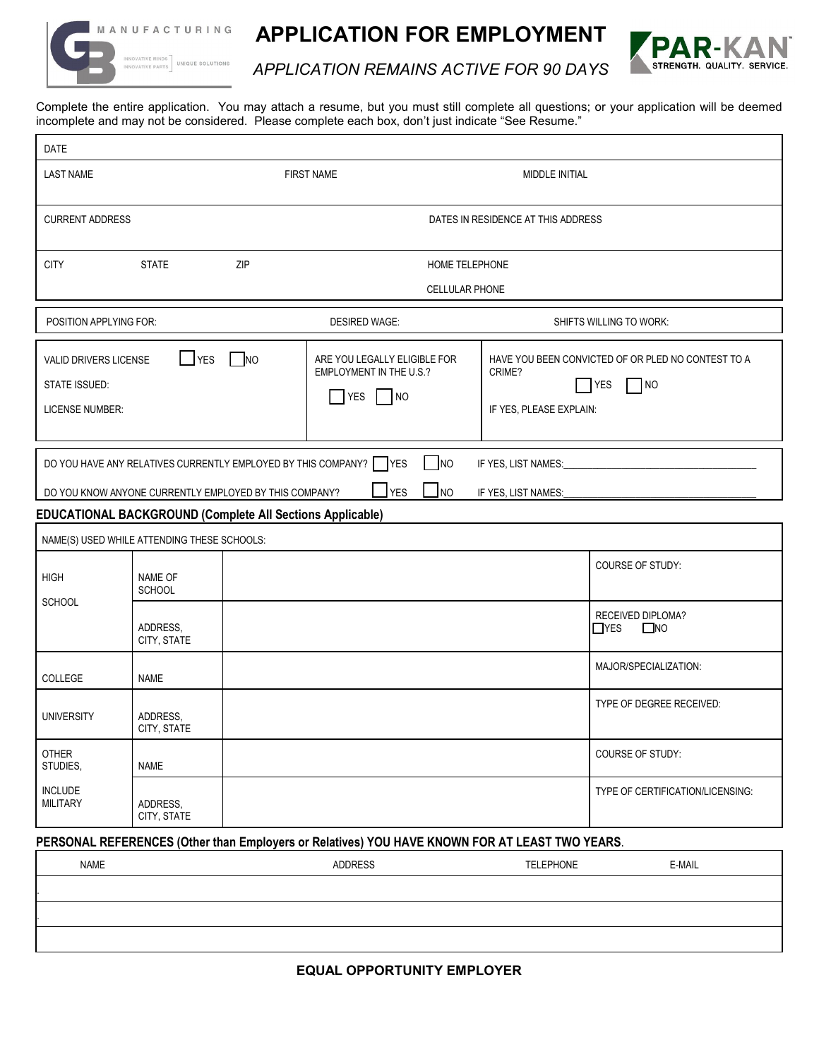

 $\mathbf{r}$ 

1. **.** 3

**APPLICATION FOR EMPLOYMENT**



*APPLICATION REMAINS ACTIVE FOR 90 DAYS*

Complete the entire application. You may attach a resume, but you must still complete all questions; or your application will be deemed incomplete and may not be considered. Please complete each box, don't just indicate "See Resume."

| <b>DATE</b>                                                                                                                                                                                                     |                          |                       |                                                                                   |                                   |                                                                                |  |  |  |  |
|-----------------------------------------------------------------------------------------------------------------------------------------------------------------------------------------------------------------|--------------------------|-----------------------|-----------------------------------------------------------------------------------|-----------------------------------|--------------------------------------------------------------------------------|--|--|--|--|
| <b>LAST NAME</b>                                                                                                                                                                                                |                          |                       | <b>FIRST NAME</b><br>MIDDLE INITIAL                                               |                                   |                                                                                |  |  |  |  |
| <b>CURRENT ADDRESS</b>                                                                                                                                                                                          |                          |                       | DATES IN RESIDENCE AT THIS ADDRESS                                                |                                   |                                                                                |  |  |  |  |
| <b>CITY</b>                                                                                                                                                                                                     | <b>STATE</b>             | ZIP<br>HOME TELEPHONE |                                                                                   |                                   |                                                                                |  |  |  |  |
|                                                                                                                                                                                                                 |                          |                       | <b>CELLULAR PHONE</b>                                                             |                                   |                                                                                |  |  |  |  |
| POSITION APPLYING FOR:                                                                                                                                                                                          |                          |                       | <b>DESIRED WAGE:</b>                                                              |                                   | SHIFTS WILLING TO WORK:                                                        |  |  |  |  |
| VALID DRIVERS LICENSE<br>STATE ISSUED:<br><b>LICENSE NUMBER:</b>                                                                                                                                                | $\Box$ YES $\Box$ NO     |                       | ARE YOU LEGALLY ELIGIBLE FOR<br><b>EMPLOYMENT IN THE U.S.?</b><br><b>YES</b><br>N | CRIME?<br>IF YES, PLEASE EXPLAIN: | HAVE YOU BEEN CONVICTED OF OR PLED NO CONTEST TO A<br><b>YES</b><br>$\n  1$ NO |  |  |  |  |
| DO YOU HAVE ANY RELATIVES CURRENTLY EMPLOYED BY THIS COMPANY? VES<br>N<br>IF YES, LIST NAMES:<br>$\mathsf{J}$ YES<br>$\Box$ NO<br>DO YOU KNOW ANYONE CURRENTLY EMPLOYED BY THIS COMPANY?<br>IF YES, LIST NAMES: |                          |                       |                                                                                   |                                   |                                                                                |  |  |  |  |
| <b>EDUCATIONAL BACKGROUND (Complete All Sections Applicable)</b>                                                                                                                                                |                          |                       |                                                                                   |                                   |                                                                                |  |  |  |  |
| NAME(S) USED WHILE ATTENDING THESE SCHOOLS:                                                                                                                                                                     |                          |                       |                                                                                   |                                   |                                                                                |  |  |  |  |
| <b>HIGH</b><br><b>SCHOOL</b>                                                                                                                                                                                    | NAME OF<br><b>SCHOOL</b> |                       |                                                                                   |                                   | <b>COURSE OF STUDY:</b>                                                        |  |  |  |  |
|                                                                                                                                                                                                                 | ADDRESS,<br>CITY, STATE  |                       |                                                                                   |                                   | RECEIVED DIPLOMA?<br>$\Box$ YES<br>$\square$ NO                                |  |  |  |  |
| <b>COLLEGE</b>                                                                                                                                                                                                  | <b>NAME</b>              |                       |                                                                                   |                                   | MAJOR/SPECIALIZATION:                                                          |  |  |  |  |
| <b>UNIVERSITY</b>                                                                                                                                                                                               | ADDRESS,<br>CITY, STATE  |                       |                                                                                   |                                   | TYPE OF DEGREE RECEIVED:                                                       |  |  |  |  |
| <b>OTHER</b><br>STUDIES,                                                                                                                                                                                        | <b>NAME</b>              |                       |                                                                                   |                                   | COURSE OF STUDY:                                                               |  |  |  |  |
| <b>INCLUDE</b><br><b>MILITARY</b>                                                                                                                                                                               | ADDRESS,<br>CITY, STATE  |                       |                                                                                   |                                   | TYPE OF CERTIFICATION/LICENSING:                                               |  |  |  |  |
| PERSONAL REFERENCES (Other than Employers or Relatives) YOU HAVE KNOWN FOR AT LEAST TWO YEARS.                                                                                                                  |                          |                       |                                                                                   |                                   |                                                                                |  |  |  |  |
| NAME                                                                                                                                                                                                            |                          |                       | <b>ADDRESS</b>                                                                    | <b>TELEPHONE</b>                  | E-MAIL                                                                         |  |  |  |  |